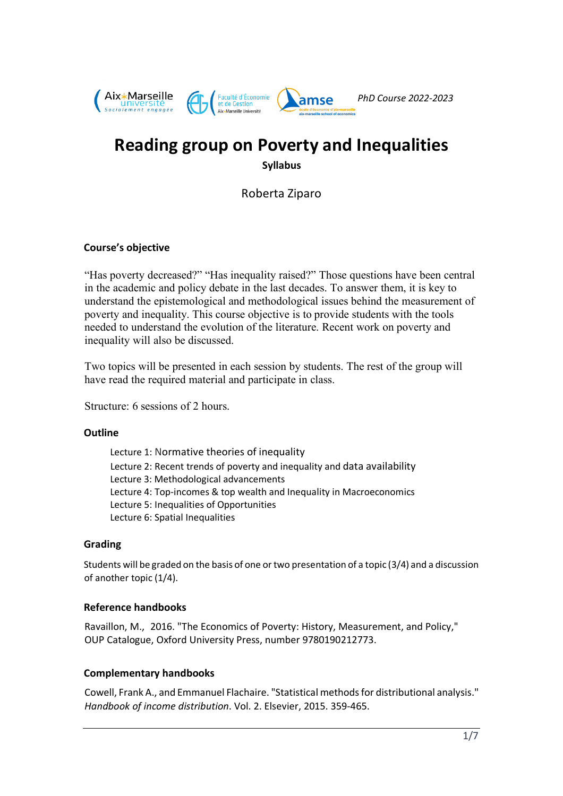

# **Reading group on Poverty and Inequalities Syllabus**

Roberta Ziparo

## **Course's objective**

"Has poverty decreased?" "Has inequality raised?" Those questions have been central in the academic and policy debate in the last decades. To answer them, it is key to understand the epistemological and methodological issues behind the measurement of poverty and inequality. This course objective is to provide students with the tools needed to understand the evolution of the literature. Recent work on poverty and inequality will also be discussed.

Two topics will be presented in each session by students. The rest of the group will have read the required material and participate in class.

Structure: 6 sessions of 2 hours.

#### **Outline**

 Lecture 1: Normative theories of inequality Lecture 2: Recent trends of poverty and inequality and data availability Lecture 3: Methodological advancements Lecture 4: Top-incomes & top wealth and Inequality in Macroeconomics Lecture 5: Inequalities of Opportunities Lecture 6: Spatial Inequalities

## **Grading**

Students will be graded on the basis of one or two presentation of a topic (3/4) and a discussion of another topic (1/4).

#### **Reference handbooks**

Ravaillon, M., 2016. "The Economics of Poverty: History, Measurement, and Policy," OUP Catalogue, Oxford University Press, number 9780190212773.

## **Complementary handbooks**

Cowell, Frank A., and Emmanuel Flachaire. "Statistical methods for distributional analysis." *Handbook of income distribution*. Vol. 2. Elsevier, 2015. 359-465.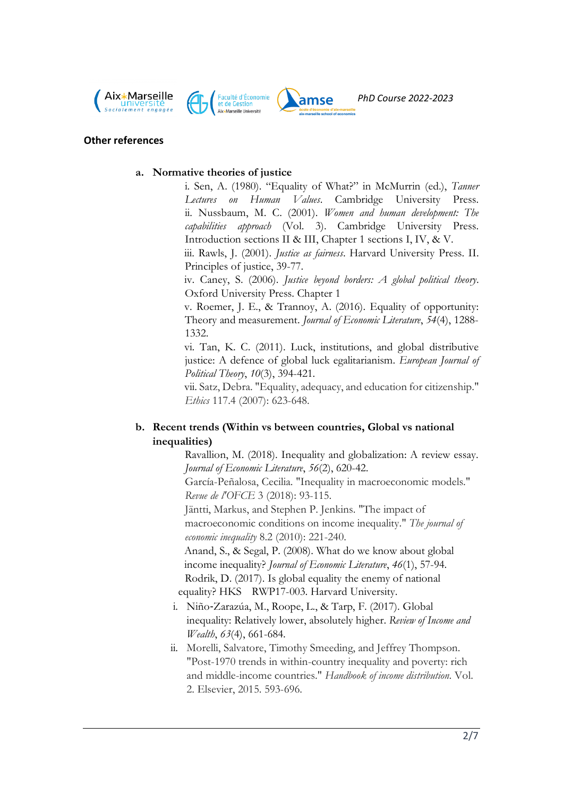





#### **Other references**

#### **a. Normative theories of justice**

i. Sen, A. (1980). "Equality of What?" in McMurrin (ed.), *Tanner Lectures on Human Values*. Cambridge University Press. ii. Nussbaum, M. C. (2001). *Women and human development: The capabilities approach* (Vol. 3). Cambridge University Press. Introduction sections II & III, Chapter 1 sections I, IV, & V.

iii. Rawls, J. (2001). *Justice as fairness*. Harvard University Press. II. Principles of justice, 39-77.

iv. Caney, S. (2006). *Justice beyond borders: A global political theory*. Oxford University Press. Chapter 1

v. Roemer, J. E., & Trannoy, A. (2016). Equality of opportunity: Theory and measurement. *Journal of Economic Literature*, *54*(4), 1288- 1332.

vi. Tan, K. C. (2011). Luck, institutions, and global distributive justice: A defence of global luck egalitarianism. *European Journal of Political Theory*, *10*(3), 394-421.

vii. Satz, Debra. "Equality, adequacy, and education for citizenship." *Ethics* 117.4 (2007): 623-648.

## **b. Recent trends (Within vs between countries, Global vs national inequalities)**

Ravallion, M. (2018). Inequality and globalization: A review essay. *Journal of Economic Literature*, *56*(2), 620-42.

García-Peñalosa, Cecilia. "Inequality in macroeconomic models." *Revue de l'OFCE* 3 (2018): 93-115.

Jäntti, Markus, and Stephen P. Jenkins. "The impact of macroeconomic conditions on income inequality." *The journal of economic inequality* 8.2 (2010): 221-240.

Anand, S., & Segal, P. (2008). What do we know about global income inequality? *Journal of Economic Literature*, *46*(1), 57-94. Rodrik, D. (2017). Is global equality the enemy of national equality? HKS RWP17-003. Harvard University.

- i. Niño-Zarazúa, M., Roope, L., & Tarp, F. (2017). Global inequality: Relatively lower, absolutely higher. *Review of Income and Wealth*, *63*(4), 661-684.
- ii. Morelli, Salvatore, Timothy Smeeding, and Jeffrey Thompson. "Post-1970 trends in within-country inequality and poverty: rich and middle-income countries." *Handbook of income distribution*. Vol. 2. Elsevier, 2015. 593-696.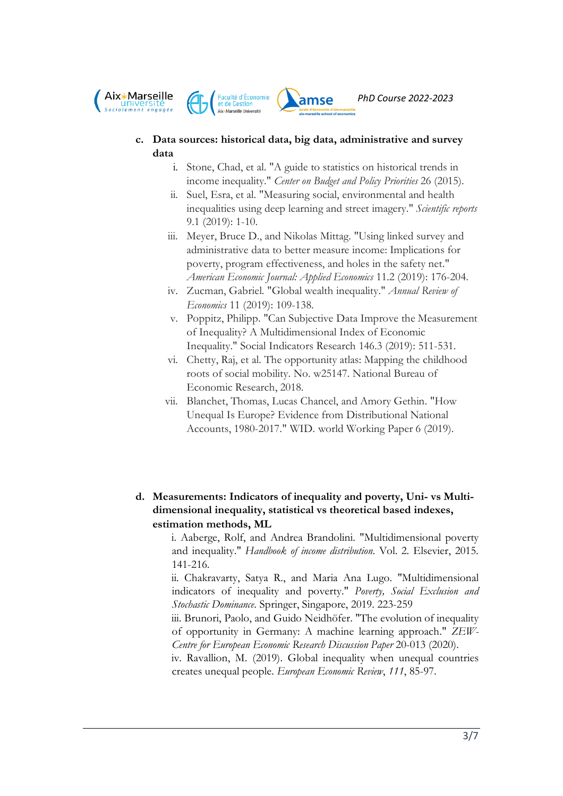



## **c. Data sources: historical data, big data, administrative and survey data**

- i. Stone, Chad, et al. "A guide to statistics on historical trends in income inequality." *Center on Budget and Policy Priorities* 26 (2015).
- ii. Suel, Esra, et al. "Measuring social, environmental and health inequalities using deep learning and street imagery." *Scientific reports* 9.1 (2019): 1-10.
- iii. Meyer, Bruce D., and Nikolas Mittag. "Using linked survey and administrative data to better measure income: Implications for poverty, program effectiveness, and holes in the safety net." *American Economic Journal: Applied Economics* 11.2 (2019): 176-204.
- iv. Zucman, Gabriel. "Global wealth inequality." *Annual Review of Economics* 11 (2019): 109-138.
- v. Poppitz, Philipp. "Can Subjective Data Improve the Measurement of Inequality? A Multidimensional Index of Economic Inequality." Social Indicators Research 146.3 (2019): 511-531.
- vi. Chetty, Raj, et al. The opportunity atlas: Mapping the childhood roots of social mobility. No. w25147. National Bureau of Economic Research, 2018.
- vii. Blanchet, Thomas, Lucas Chancel, and Amory Gethin. "How Unequal Is Europe? Evidence from Distributional National Accounts, 1980-2017." WID. world Working Paper 6 (2019).
- **d. Measurements: Indicators of inequality and poverty, Uni- vs Multidimensional inequality, statistical vs theoretical based indexes, estimation methods, ML**

i. Aaberge, Rolf, and Andrea Brandolini. "Multidimensional poverty and inequality." *Handbook of income distribution*. Vol. 2. Elsevier, 2015. 141-216.

ii. Chakravarty, Satya R., and Maria Ana Lugo. "Multidimensional indicators of inequality and poverty." *Poverty, Social Exclusion and Stochastic Dominance*. Springer, Singapore, 2019. 223-259

iii. Brunori, Paolo, and Guido Neidhöfer. "The evolution of inequality of opportunity in Germany: A machine learning approach." *ZEW-Centre for European Economic Research Discussion Paper* 20-013 (2020).

iv. Ravallion, M. (2019). Global inequality when unequal countries creates unequal people. *European Economic Review*, *111*, 85-97.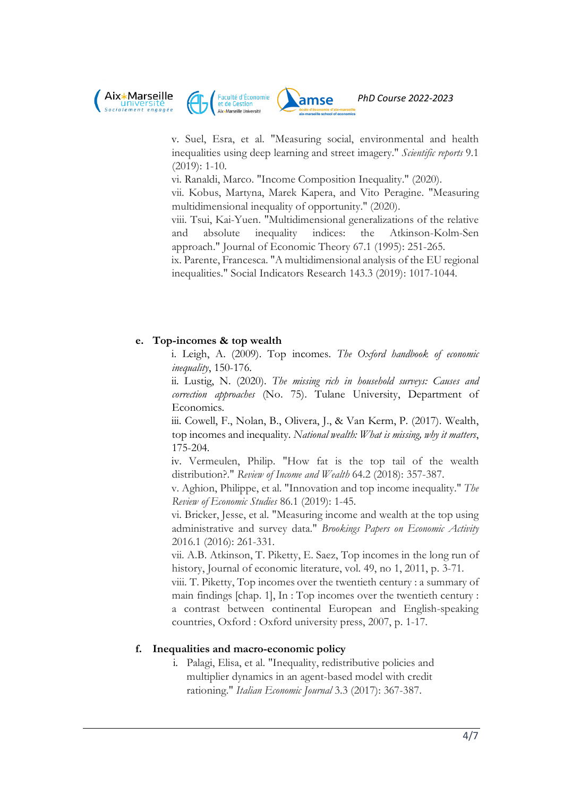



*PhD Course 2022-2023*

v. Suel, Esra, et al. "Measuring social, environmental and health inequalities using deep learning and street imagery." *Scientific reports* 9.1 (2019): 1-10.

vi. Ranaldi, Marco. "Income Composition Inequality." (2020).

vii. Kobus, Martyna, Marek Kapera, and Vito Peragine. "Measuring multidimensional inequality of opportunity." (2020).

viii. Tsui, Kai-Yuen. "Multidimensional generalizations of the relative and absolute inequality indices: the Atkinson-Kolm-Sen approach." Journal of Economic Theory 67.1 (1995): 251-265.

ix. Parente, Francesca. "A multidimensional analysis of the EU regional inequalities." Social Indicators Research 143.3 (2019): 1017-1044.

#### **e. Top-incomes & top wealth**

i. Leigh, A. (2009). Top incomes. *The Oxford handbook of economic inequality*, 150-176.

ii. Lustig, N. (2020). *The missing rich in household surveys: Causes and correction approaches* (No. 75). Tulane University, Department of Economics.

iii. Cowell, F., Nolan, B., Olivera, J., & Van Kerm, P. (2017). Wealth, top incomes and inequality. *National wealth: What is missing, why it matters*, 175-204.

iv. Vermeulen, Philip. "How fat is the top tail of the wealth distribution?." *Review of Income and Wealth* 64.2 (2018): 357-387.

v. Aghion, Philippe, et al. "Innovation and top income inequality." *The Review of Economic Studies* 86.1 (2019): 1-45.

vi. Bricker, Jesse, et al. "Measuring income and wealth at the top using administrative and survey data." *Brookings Papers on Economic Activity* 2016.1 (2016): 261-331.

vii. A.B. Atkinson, T. Piketty, E. Saez, Top incomes in the long run of history, Journal of economic literature, vol. 49, no 1, 2011, p. 3-71.

viii. T. Piketty, Top incomes over the twentieth century : a summary of main findings [chap. 1], In : Top incomes over the twentieth century : a contrast between continental European and English-speaking countries, Oxford : Oxford university press, 2007, p. 1-17.

#### **f. Inequalities and macro-economic policy**

i. Palagi, Elisa, et al. "Inequality, redistributive policies and multiplier dynamics in an agent-based model with credit rationing." *Italian Economic Journal* 3.3 (2017): 367-387.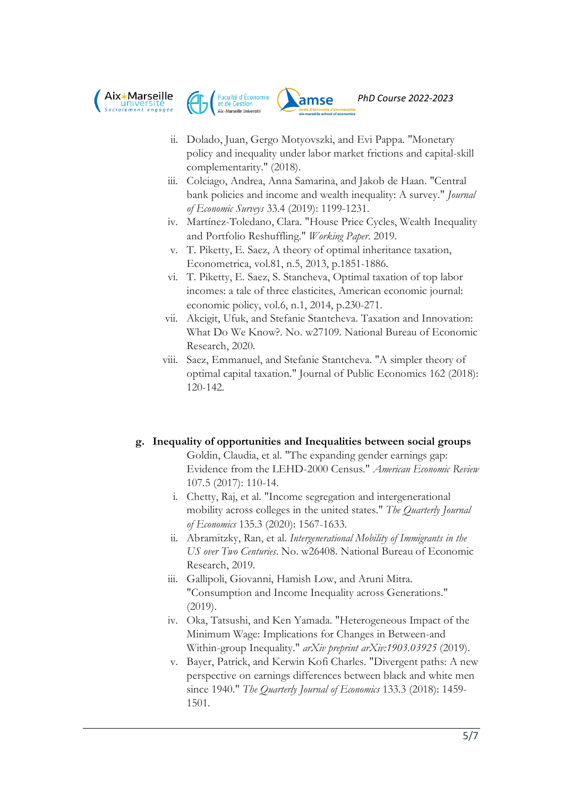





- ii. Dolado, Juan, Gergo Motyovszki, and Evi Pappa. "Monetary policy and inequality under labor market frictions and capital-skill complementarity." (2018).
- iii. Colciago, Andrea, Anna Samarina, and Jakob de Haan. "Central bank policies and income and wealth inequality: A survey." *Journal of Economic Surveys* 33.4 (2019): 1199-1231.
- iv. Martínez-Toledano, Clara. "House Price Cycles, Wealth Inequality and Portfolio Reshuffling." *Working Paper*. 2019.
- v. T. Piketty, E. Saez, A theory of optimal inheritance taxation, Econometrica, vol.81, n.5, 2013, p.1851-1886.
- vi. T. Piketty, E. Saez, S. Stancheva, Optimal taxation of top labor incomes: a tale of three elasticites, American economic journal: economic policy, vol.6, n.1, 2014, p.230-271.
- vii. Akcigit, Ufuk, and Stefanie Stantcheva. Taxation and Innovation: What Do We Know?. No. w27109. National Bureau of Economic Research, 2020.
- viii. Saez, Emmanuel, and Stefanie Stantcheva. "A simpler theory of optimal capital taxation." Journal of Public Economics 162 (2018): 120-142.

## **g. Inequality of opportunities and Inequalities between social groups**

- Goldin, Claudia, et al. "The expanding gender earnings gap: Evidence from the LEHD-2000 Census." *American Economic Review* 107.5 (2017): 110-14.
- i. Chetty, Raj, et al. "Income segregation and intergenerational mobility across colleges in the united states." *The Quarterly Journal of Economics* 135.3 (2020): 1567-1633.
- ii. Abramitzky, Ran, et al. *Intergenerational Mobility of Immigrants in the US over Two Centuries*. No. w26408. National Bureau of Economic Research, 2019.
- iii. Gallipoli, Giovanni, Hamish Low, and Aruni Mitra. "Consumption and Income Inequality across Generations." (2019).
- iv. Oka, Tatsushi, and Ken Yamada. "Heterogeneous Impact of the Minimum Wage: Implications for Changes in Between-and Within-group Inequality." *arXiv preprint arXiv:1903.03925* (2019).
- v. Bayer, Patrick, and Kerwin Kofi Charles. "Divergent paths: A new perspective on earnings differences between black and white men since 1940." *The Quarterly Journal of Economics* 133.3 (2018): 1459- 1501.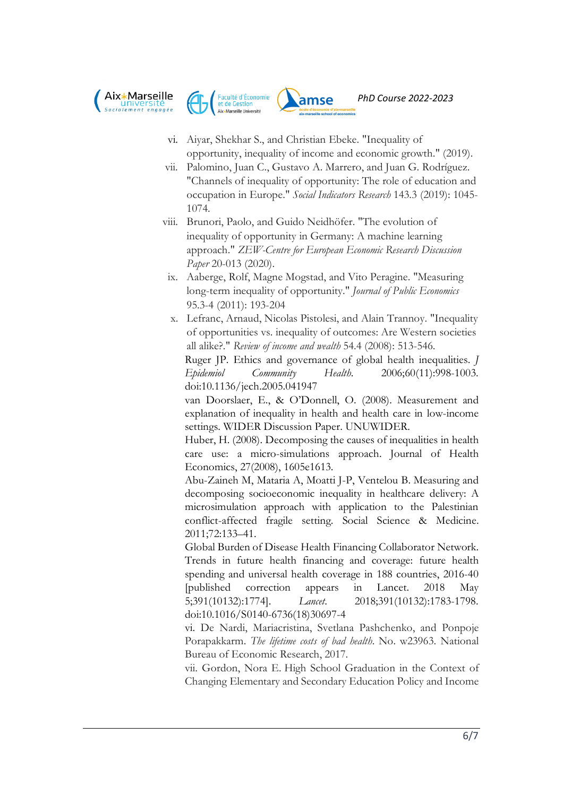





- vi. Aiyar, Shekhar S., and Christian Ebeke. "Inequality of opportunity, inequality of income and economic growth." (2019).
- vii. Palomino, Juan C., Gustavo A. Marrero, and Juan G. Rodríguez. "Channels of inequality of opportunity: The role of education and occupation in Europe." *Social Indicators Research* 143.3 (2019): 1045- 1074.
- viii. Brunori, Paolo, and Guido Neidhöfer. "The evolution of inequality of opportunity in Germany: A machine learning approach." *ZEW-Centre for European Economic Research Discussion Paper* 20-013 (2020).
- ix. Aaberge, Rolf, Magne Mogstad, and Vito Peragine. "Measuring long-term inequality of opportunity." *Journal of Public Economics* 95.3-4 (2011): 193-204
- x. Lefranc, Arnaud, Nicolas Pistolesi, and Alain Trannoy. "Inequality of opportunities vs. inequality of outcomes: Are Western societies all alike?." *Review of income and wealth* 54.4 (2008): 513-546.

Ruger JP. Ethics and governance of global health inequalities. *J Epidemiol Community Health*. 2006;60(11):998-1003. doi:10.1136/jech.2005.041947

van Doorslaer, E., & O'Donnell, O. (2008). Measurement and explanation of inequality in health and health care in low-income settings. WIDER Discussion Paper. UNUWIDER.

Huber, H. (2008). Decomposing the causes of inequalities in health care use: a micro-simulations approach. Journal of Health Economics, 27(2008), 1605e1613.

Abu-Zaineh M, Mataria A, Moatti J-P, Ventelou B. Measuring and decomposing socioeconomic inequality in healthcare delivery: A microsimulation approach with application to the Palestinian conflict-affected fragile setting. Social Science & Medicine. 2011;72:133–41.

Global Burden of Disease Health Financing Collaborator Network. Trends in future health financing and coverage: future health spending and universal health coverage in 188 countries, 2016-40 [published correction appears in Lancet. 2018 May 5;391(10132):1774]. *Lancet*. 2018;391(10132):1783-1798. doi:10.1016/S0140-6736(18)30697-4

vi. De Nardi, Mariacristina, Svetlana Pashchenko, and Ponpoje Porapakkarm. *The lifetime costs of bad health*. No. w23963. National Bureau of Economic Research, 2017.

vii. Gordon, Nora E. High School Graduation in the Context of Changing Elementary and Secondary Education Policy and Income